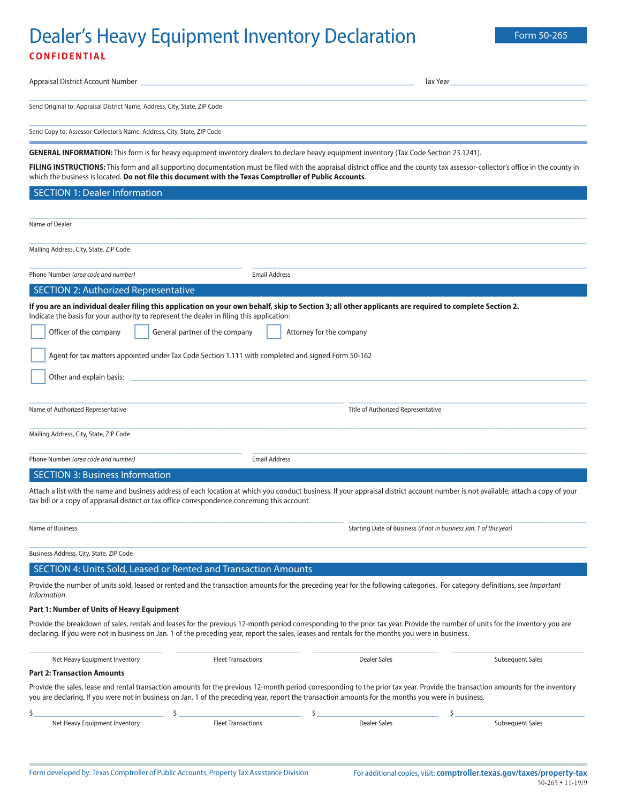# Dealer's Heavy Equipment Inventory Declaration Form 50-265 **CONFIDENTIAL**

| Appraisal District Account Number                                                                                                                                                                                                                                                                                                                                                                                |                                |                                                                    | Tax Year              |
|------------------------------------------------------------------------------------------------------------------------------------------------------------------------------------------------------------------------------------------------------------------------------------------------------------------------------------------------------------------------------------------------------------------|--------------------------------|--------------------------------------------------------------------|-----------------------|
| Send Original to: Appraisal District Name, Address, City, State, ZIP Code                                                                                                                                                                                                                                                                                                                                        |                                |                                                                    |                       |
| Send Copy to: Assessor-Collector's Name, Address, City, State, ZIP Code                                                                                                                                                                                                                                                                                                                                          |                                |                                                                    |                       |
| GENERAL INFORMATION: This form is for heavy equipment inventory dealers to declare heavy equipment inventory (Tax Code Section 23.1241).                                                                                                                                                                                                                                                                         |                                |                                                                    |                       |
| FILING INSTRUCTIONS: This form and all supporting documentation must be filed with the appraisal district office and the county tax assessor-collector's office in the county in<br>which the business is located. Do not file this document with the Texas Comptroller of Public Accounts.                                                                                                                      |                                |                                                                    |                       |
| <b>SECTION 1: Dealer Information</b>                                                                                                                                                                                                                                                                                                                                                                             |                                |                                                                    |                       |
| Name of Dealer                                                                                                                                                                                                                                                                                                                                                                                                   |                                |                                                                    |                       |
| Mailing Address, City, State, ZIP Code                                                                                                                                                                                                                                                                                                                                                                           |                                |                                                                    |                       |
| Phone Number (area code and number)                                                                                                                                                                                                                                                                                                                                                                              | <b>Email Address</b>           |                                                                    |                       |
| SECTION 2: Authorized Representative                                                                                                                                                                                                                                                                                                                                                                             |                                |                                                                    |                       |
| If you are an individual dealer filing this application on your own behalf, skip to Section 3; all other applicants are required to complete Section 2.<br>Indicate the basis for your authority to represent the dealer in filing this application:<br>Officer of the company<br>Agent for tax matters appointed under Tax Code Section 1.111 with completed and signed Form 50-162<br>Other and explain basis: | General partner of the company | Attorney for the company                                           |                       |
| Name of Authorized Representative                                                                                                                                                                                                                                                                                                                                                                                |                                | Title of Authorized Representative                                 |                       |
| Mailing Address, City, State, ZIP Code                                                                                                                                                                                                                                                                                                                                                                           |                                |                                                                    |                       |
| Phone Number (area code and number)                                                                                                                                                                                                                                                                                                                                                                              | <b>Email Address</b>           |                                                                    |                       |
| <b>SECTION 3: Business Information</b>                                                                                                                                                                                                                                                                                                                                                                           |                                |                                                                    |                       |
| Attach a list with the name and business address of each location at which you conduct business. If your appraisal district account number is not available, attach a copy of your<br>tax bill or a copy of appraisal district or tax office correspondence concerning this account.                                                                                                                             |                                |                                                                    |                       |
| Name of Business                                                                                                                                                                                                                                                                                                                                                                                                 |                                | Starting Date of Business (if not in business Jan. 1 of this year) |                       |
| Business Address, City, State, ZIP Code                                                                                                                                                                                                                                                                                                                                                                          |                                |                                                                    |                       |
| SECTION 4: Units Sold, Leased or Rented and Transaction Amounts                                                                                                                                                                                                                                                                                                                                                  |                                |                                                                    |                       |
| Provide the number of units sold, leased or rented and the transaction amounts for the preceding year for the following categories. For category definitions, see Important<br>Information.                                                                                                                                                                                                                      |                                |                                                                    |                       |
| Part 1: Number of Units of Heavy Equipment                                                                                                                                                                                                                                                                                                                                                                       |                                |                                                                    |                       |
| Provide the breakdown of sales, rentals and leases for the previous 12-month period corresponding to the prior tax year. Provide the number of units for the inventory you are<br>declaring. If you were not in business on Jan. 1 of the preceding year, report the sales, leases and rentals for the months you were in business.                                                                              |                                |                                                                    |                       |
| Net Heavy Equipment Inventory                                                                                                                                                                                                                                                                                                                                                                                    | <b>Fleet Transactions</b>      | <b>Dealer Sales</b>                                                | Subsequent Sales      |
| <b>Part 2: Transaction Amounts</b>                                                                                                                                                                                                                                                                                                                                                                               |                                |                                                                    |                       |
| Provide the sales, lease and rental transaction amounts for the previous 12-month period corresponding to the prior tax year. Provide the transaction amounts for the inventory<br>you are declaring. If you were not in business on Jan. 1 of the preceding year, report the transaction amounts for the months you were in business.                                                                           |                                |                                                                    |                       |
| Ś<br>\$<br>Net Heavy Equipment Inventory                                                                                                                                                                                                                                                                                                                                                                         | <b>Fleet Transactions</b>      | \$<br><b>Dealer Sales</b>                                          | Ś<br>Subsequent Sales |
|                                                                                                                                                                                                                                                                                                                                                                                                                  |                                |                                                                    |                       |